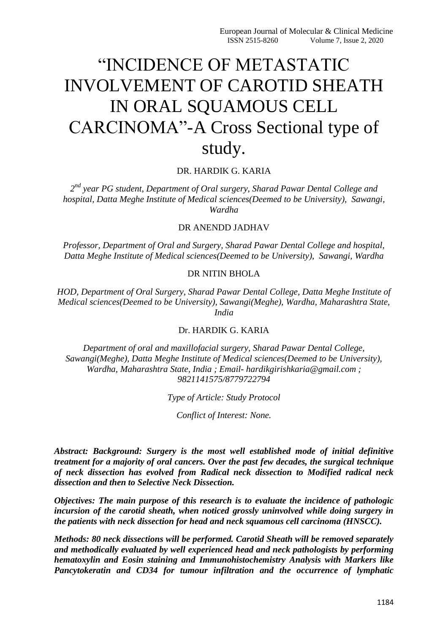# "INCIDENCE OF METASTATIC INVOLVEMENT OF CAROTID SHEATH IN ORAL SQUAMOUS CELL CARCINOMA"-A Cross Sectional type of study.

# DR. HARDIK G. KARIA

*2 nd year PG student, Department of Oral surgery, Sharad Pawar Dental College and hospital, Datta Meghe Institute of Medical sciences(Deemed to be University), Sawangi, Wardha*

#### DR ANENDD JADHAV

*Professor, Department of Oral and Surgery, Sharad Pawar Dental College and hospital, Datta Meghe Institute of Medical sciences(Deemed to be University), Sawangi, Wardha*

#### DR NITIN BHOLA

*HOD, Department of Oral Surgery, Sharad Pawar Dental College, Datta Meghe Institute of Medical sciences(Deemed to be University), Sawangi(Meghe), Wardha, Maharashtra State, India*

#### Dr. HARDIK G. KARIA

*Department of oral and maxillofacial surgery, Sharad Pawar Dental College, Sawangi(Meghe), Datta Meghe Institute of Medical sciences(Deemed to be University), Wardha, Maharashtra State, India ; Email- hardikgirishkaria@gmail.com ; 9821141575/8779722794*

*Type of Article: Study Protocol*

*Conflict of Interest: None.*

*Abstract: Background: Surgery is the most well established mode of initial definitive treatment for a majority of oral cancers. Over the past few decades, the surgical technique of neck dissection has evolved from Radical neck dissection to Modified radical neck dissection and then to Selective Neck Dissection.*

*Objectives: The main purpose of this research is to evaluate the incidence of pathologic incursion of the carotid sheath, when noticed grossly uninvolved while doing surgery in the patients with neck dissection for head and neck squamous cell carcinoma (HNSCC).*

*Methods: 80 neck dissections will be performed. Carotid Sheath will be removed separately and methodically evaluated by well experienced head and neck pathologists by performing hematoxylin and Eosin staining and Immunohistochemistry Analysis with Markers like Pancytokeratin and CD34 for tumour infiltration and the occurrence of lymphatic*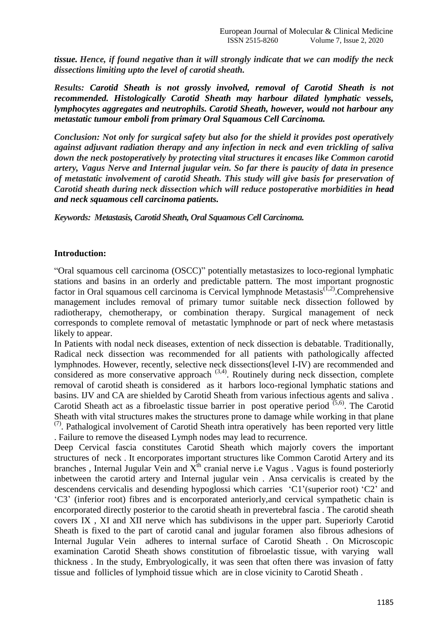*tissue. Hence, if found negative than it will strongly indicate that we can modify the neck dissections limiting upto the level of carotid sheath.*

*Results: Carotid Sheath is not grossly involved, removal of Carotid Sheath is not recommended. Histologically Carotid Sheath may harbour dilated lymphatic vessels, lymphocytes aggregates and neutrophils. Carotid Sheath, however, would not harbour any metastatic tumour emboli from primary Oral Squamous Cell Carcinoma.* 

*Conclusion: Not only for surgical safety but also for the shield it provides post operatively against adjuvant radiation therapy and any infection in neck and even trickling of saliva down the neck postoperatively by protecting vital structures it encases like Common carotid artery, Vagus Nerve and Internal jugular vein. So far there is paucity of data in presence of metastatic involvement of carotid Sheath. This study will give basis for preservation of Carotid sheath during neck dissection which will reduce postoperative morbidities in head and neck squamous cell carcinoma patients.*

*Keywords: Metastasis, Carotid Sheath, Oral Squamous Cell Carcinoma.*

#### **Introduction:**

"Oral squamous cell carcinoma (OSCC)" potentially metastasizes to loco-regional lymphatic stations and basins in an orderly and predictable pattern. The most important prognostic factor in Oral squamous cell carcinoma is Cervical lymphnode Metastasis<sup> $(I,2)$ </sup>.Comprehensive management includes removal of primary tumor suitable neck dissection followed by radiotherapy, chemotherapy, or combination therapy. Surgical management of neck corresponds to complete removal of metastatic lymphnode or part of neck where metastasis likely to appear.

In Patients with nodal neck diseases, extention of neck dissection is debatable. Traditionally, Radical neck dissection was recommended for all patients with pathologically affected lymphnodes. However, recently, selective neck dissections(level I-IV) are recommended and considered as more conservative approach  $(3,4)$ . Routinely during neck dissection, complete removal of carotid sheath is considered as it harbors loco-regional lymphatic stations and basins. IJV and CA are shielded by Carotid Sheath from various infectious agents and saliva . Carotid Sheath act as a fibroelastic tissue barrier in post operative period  $(5.6)$ . The Carotid Sheath with vital structures makes the structures prone to damage while working in that plane  $(7)$ . Pathalogical involvement of Carotid Sheath intra operatively has been reported very little . Failure to remove the diseased Lymph nodes may lead to recurrence.

Deep Cervical fascia constitutes Carotid Sheath which majorly covers the important structures of neck . It encorporates important structures like Common Carotid Artery and its branches, Internal Jugular Vein and  $X^{th}$  cranial nerve i.e Vagus. Vagus is found posteriorly inbetween the carotid artery and Internal jugular vein . Ansa cervicalis is created by the descendens cervicalis and desending hypoglossi which carries "C1"(superior root) "C2" and "C3" (inferior root) fibres and is encorporated anteriorly,and cervical sympathetic chain is encorporated directly posterior to the carotid sheath in prevertebral fascia . The carotid sheath covers IX , XI and XII nerve which has subdivisons in the upper part. Superiorly Carotid Sheath is fixed to the part of carotid canal and jugular foramen also fibrous adhesions of Internal Jugular Vein adheres to internal surface of Carotid Sheath . On Microscopic examination Carotid Sheath shows constitution of fibroelastic tissue, with varying wall thickness . In the study, Embryologically, it was seen that often there was invasion of fatty tissue and follicles of lymphoid tissue which are in close vicinity to Carotid Sheath .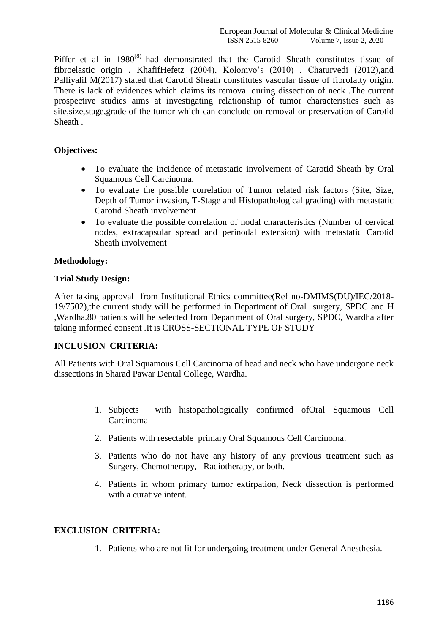Piffer et al in 1980<sup>(8)</sup> had demonstrated that the Carotid Sheath constitutes tissue of fibroelastic origin . KhafifHefetz (2004), Kolomvo"s (2010) , Chaturvedi (2012),and Palliyalil M(2017) stated that Carotid Sheath constitutes vascular tissue of fibrofatty origin. There is lack of evidences which claims its removal during dissection of neck .The current prospective studies aims at investigating relationship of tumor characteristics such as site,size,stage,grade of the tumor which can conclude on removal or preservation of Carotid Sheath .

## **Objectives:**

- To evaluate the incidence of metastatic involvement of Carotid Sheath by Oral Squamous Cell Carcinoma.
- To evaluate the possible correlation of Tumor related risk factors (Site, Size, Depth of Tumor invasion, T-Stage and Histopathological grading) with metastatic Carotid Sheath involvement
- To evaluate the possible correlation of nodal characteristics (Number of cervical nodes, extracapsular spread and perinodal extension) with metastatic Carotid Sheath involvement

## **Methodology:**

## **Trial Study Design:**

After taking approval from Institutional Ethics committee(Ref no-DMIMS(DU)/IEC/2018- 19/7502),the current study will be performed in Department of Oral surgery, SPDC and H ,Wardha.80 patients will be selected from Department of Oral surgery, SPDC, Wardha after taking informed consent .It is CROSS-SECTIONAL TYPE OF STUDY

#### **INCLUSION CRITERIA:**

All Patients with Oral Squamous Cell Carcinoma of head and neck who have undergone neck dissections in Sharad Pawar Dental College, Wardha.

- 1. Subjects with histopathologically confirmed ofOral Squamous Cell Carcinoma
- 2. Patients with resectable primary Oral Squamous Cell Carcinoma.
- 3. Patients who do not have any history of any previous treatment such as Surgery, Chemotherapy, Radiotherapy, or both.
- 4. Patients in whom primary tumor extirpation, Neck dissection is performed with a curative intent.

#### **EXCLUSION CRITERIA:**

1. Patients who are not fit for undergoing treatment under General Anesthesia.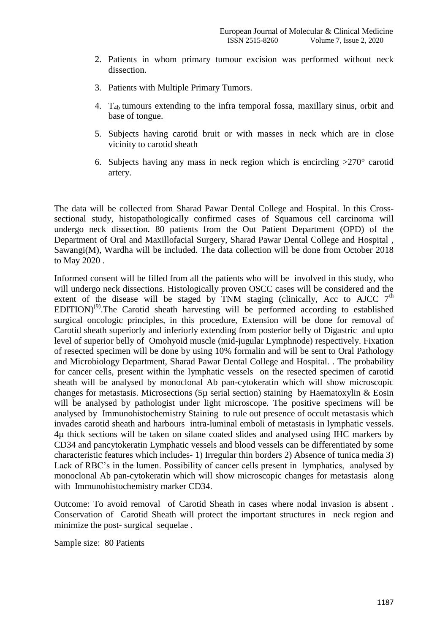- 2. Patients in whom primary tumour excision was performed without neck dissection.
- 3. Patients with Multiple Primary Tumors.
- 4. T4b tumours extending to the infra temporal fossa, maxillary sinus, orbit and base of tongue.
- 5. Subjects having carotid bruit or with masses in neck which are in close vicinity to carotid sheath
- 6. Subjects having any mass in neck region which is encircling >270° carotid artery.

The data will be collected from Sharad Pawar Dental College and Hospital. In this Crosssectional study, histopathologically confirmed cases of Squamous cell carcinoma will undergo neck dissection. 80 patients from the Out Patient Department (OPD) of the Department of Oral and Maxillofacial Surgery, Sharad Pawar Dental College and Hospital , Sawangi(M), Wardha will be included. The data collection will be done from October 2018 to May 2020 .

Informed consent will be filled from all the patients who will be involved in this study, who will undergo neck dissections. Histologically proven OSCC cases will be considered and the extent of the disease will be staged by TNM staging (clinically, Acc to AJCC  $7<sup>th</sup>$  $EDITION<sup>(9)</sup>$ . The Carotid sheath harvesting will be performed according to established surgical oncologic principles, in this procedure, Extension will be done for removal of Carotid sheath superiorly and inferiorly extending from posterior belly of Digastric and upto level of superior belly of Omohyoid muscle (mid-jugular Lymphnode) respectively. Fixation of resected specimen will be done by using 10% formalin and will be sent to Oral Pathology and Microbiology Department, Sharad Pawar Dental College and Hospital. . The probability for cancer cells, present within the lymphatic vessels on the resected specimen of carotid sheath will be analysed by monoclonal Ab pan-cytokeratin which will show microscopic changes for metastasis. Microsections (5µ serial section) staining by Haematoxylin & Eosin will be analysed by pathologist under light microscope. The positive specimens will be analysed by Immunohistochemistry Staining to rule out presence of occult metastasis which invades carotid sheath and harbours intra-luminal emboli of metastasis in lymphatic vessels. 4µ thick sections will be taken on silane coated slides and analysed using IHC markers by CD34 and pancytokeratin Lymphatic vessels and blood vessels can be differentiated by some characteristic features which includes- 1) Irregular thin borders 2) Absence of tunica media 3) Lack of RBC's in the lumen. Possibility of cancer cells present in lymphatics, analysed by monoclonal Ab pan-cytokeratin which will show microscopic changes for metastasis along with Immunohistochemistry marker CD34.

Outcome: To avoid removal of Carotid Sheath in cases where nodal invasion is absent . Conservation of Carotid Sheath will protect the important structures in neck region and minimize the post- surgical sequelae .

Sample size: 80 Patients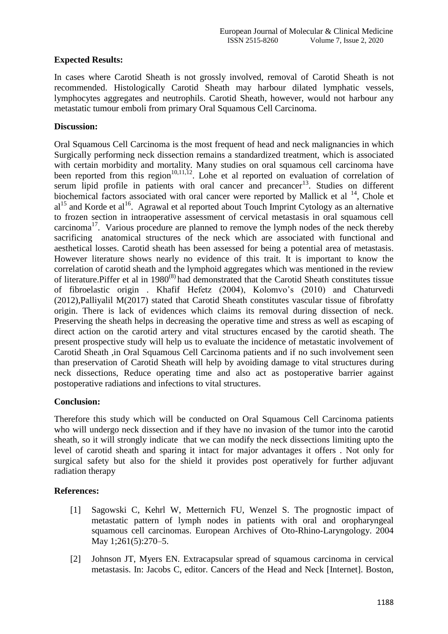# **Expected Results:**

In cases where Carotid Sheath is not grossly involved, removal of Carotid Sheath is not recommended. Histologically Carotid Sheath may harbour dilated lymphatic vessels, lymphocytes aggregates and neutrophils. Carotid Sheath, however, would not harbour any metastatic tumour emboli from primary Oral Squamous Cell Carcinoma.

## **Discussion:**

Oral Squamous Cell Carcinoma is the most frequent of head and neck malignancies in which Surgically performing neck dissection remains a standardized treatment, which is associated with certain morbidity and mortality. Many studies on oral squamous cell carcinoma have been reported from this region<sup>10,11,12</sup>. Lohe et al reported on evaluation of correlation of serum lipid profile in patients with oral cancer and precancer<sup>13</sup>. Studies on different biochemical factors associated with oral cancer were reported by Mallick et al  $^{14}$ . Chole et  $al<sup>15</sup>$  and Korde et al<sup>16</sup>. Agrawal et al reported about Touch Imprint Cytology as an alternative to frozen section in intraoperative assessment of cervical metastasis in oral squamous cell carcinoma<sup>17</sup>. Various procedure are planned to remove the lymph nodes of the neck thereby sacrificing anatomical structures of the neck which are associated with functional and aesthetical losses. Carotid sheath has been assessed for being a potential area of metastasis. However literature shows nearly no evidence of this trait. It is important to know the correlation of carotid sheath and the lymphoid aggregates which was mentioned in the review of literature.Piffer et al in 1980<sup>(8)</sup> had demonstrated that the Carotid Sheath constitutes tissue of fibroelastic origin . Khafif Hefetz (2004), Kolomvo"s (2010) and Chaturvedi (2012),Palliyalil M(2017) stated that Carotid Sheath constitutes vascular tissue of fibrofatty origin. There is lack of evidences which claims its removal during dissection of neck. Preserving the sheath helps in decreasing the operative time and stress as well as escaping of direct action on the carotid artery and vital structures encased by the carotid sheath. The present prospective study will help us to evaluate the incidence of metastatic involvement of Carotid Sheath ,in Oral Squamous Cell Carcinoma patients and if no such involvement seen than preservation of Carotid Sheath will help by avoiding damage to vital structures during neck dissections, Reduce operating time and also act as postoperative barrier against postoperative radiations and infections to vital structures.

# **Conclusion:**

Therefore this study which will be conducted on Oral Squamous Cell Carcinoma patients who will undergo neck dissection and if they have no invasion of the tumor into the carotid sheath, so it will strongly indicate that we can modify the neck dissections limiting upto the level of carotid sheath and sparing it intact for major advantages it offers . Not only for surgical safety but also for the shield it provides post operatively for further adjuvant radiation therapy

# **References:**

- [1] Sagowski C, Kehrl W, Metternich FU, Wenzel S. The prognostic impact of metastatic pattern of lymph nodes in patients with oral and oropharyngeal squamous cell carcinomas. European Archives of Oto-Rhino-Laryngology. 2004 May 1;261(5):270–5.
- [2] Johnson JT, Myers EN. Extracapsular spread of squamous carcinoma in cervical metastasis. In: Jacobs C, editor. Cancers of the Head and Neck [Internet]. Boston,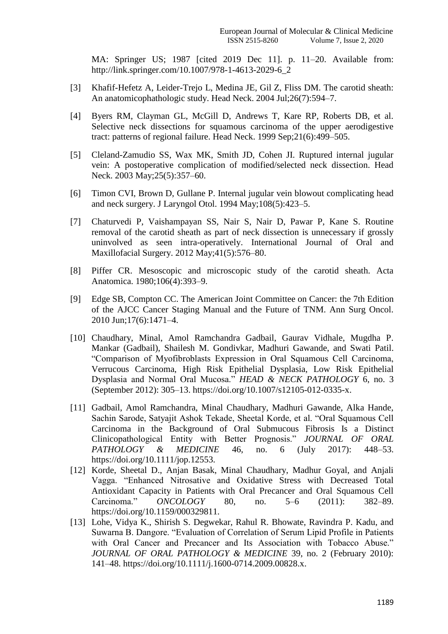MA: Springer US; 1987 [cited 2019 Dec 11]. p. 11–20. Available from: http://link.springer.com/10.1007/978-1-4613-2029-6\_2

- [3] Khafif-Hefetz A, Leider-Trejo L, Medina JE, Gil Z, Fliss DM. The carotid sheath: An anatomicophathologic study. Head Neck. 2004 Jul;26(7):594–7.
- [4] Byers RM, Clayman GL, McGill D, Andrews T, Kare RP, Roberts DB, et al. Selective neck dissections for squamous carcinoma of the upper aerodigestive tract: patterns of regional failure. Head Neck. 1999 Sep;21(6):499–505.
- [5] Cleland-Zamudio SS, Wax MK, Smith JD, Cohen JI. Ruptured internal jugular vein: A postoperative complication of modified/selected neck dissection. Head Neck. 2003 May;25(5):357–60.
- [6] Timon CVI, Brown D, Gullane P. Internal jugular vein blowout complicating head and neck surgery. J Laryngol Otol. 1994 May;108(5):423–5.
- [7] Chaturvedi P, Vaishampayan SS, Nair S, Nair D, Pawar P, Kane S. Routine removal of the carotid sheath as part of neck dissection is unnecessary if grossly uninvolved as seen intra-operatively. International Journal of Oral and Maxillofacial Surgery. 2012 May;41(5):576–80.
- [8] Piffer CR. Mesoscopic and microscopic study of the carotid sheath. Acta Anatomica. 1980;106(4):393–9.
- [9] Edge SB, Compton CC. The American Joint Committee on Cancer: the 7th Edition of the AJCC Cancer Staging Manual and the Future of TNM. Ann Surg Oncol. 2010 Jun;17(6):1471–4.
- [10] Chaudhary, Minal, Amol Ramchandra Gadbail, Gaurav Vidhale, Mugdha P. Mankar (Gadbail), Shailesh M. Gondivkar, Madhuri Gawande, and Swati Patil. "Comparison of Myofibroblasts Expression in Oral Squamous Cell Carcinoma, Verrucous Carcinoma, High Risk Epithelial Dysplasia, Low Risk Epithelial Dysplasia and Normal Oral Mucosa." *HEAD & NECK PATHOLOGY* 6, no. 3 (September 2012): 305–13. https://doi.org/10.1007/s12105-012-0335-x.
- [11] Gadbail, Amol Ramchandra, Minal Chaudhary, Madhuri Gawande, Alka Hande, Sachin Sarode, Satyajit Ashok Tekade, Sheetal Korde, et al. "Oral Squamous Cell Carcinoma in the Background of Oral Submucous Fibrosis Is a Distinct Clinicopathological Entity with Better Prognosis." *JOURNAL OF ORAL PATHOLOGY & MEDICINE* 46, no. 6 (July 2017): 448–53. https://doi.org/10.1111/jop.12553.
- [12] Korde, Sheetal D., Anjan Basak, Minal Chaudhary, Madhur Goyal, and Anjali Vagga. "Enhanced Nitrosative and Oxidative Stress with Decreased Total Antioxidant Capacity in Patients with Oral Precancer and Oral Squamous Cell Carcinoma." *ONCOLOGY* 80, no. 5–6 (2011): 382–89. https://doi.org/10.1159/000329811.
- [13] Lohe, Vidya K., Shirish S. Degwekar, Rahul R. Bhowate, Ravindra P. Kadu, and Suwarna B. Dangore. "Evaluation of Correlation of Serum Lipid Profile in Patients with Oral Cancer and Precancer and Its Association with Tobacco Abuse." *JOURNAL OF ORAL PATHOLOGY & MEDICINE* 39, no. 2 (February 2010): 141–48. https://doi.org/10.1111/j.1600-0714.2009.00828.x.